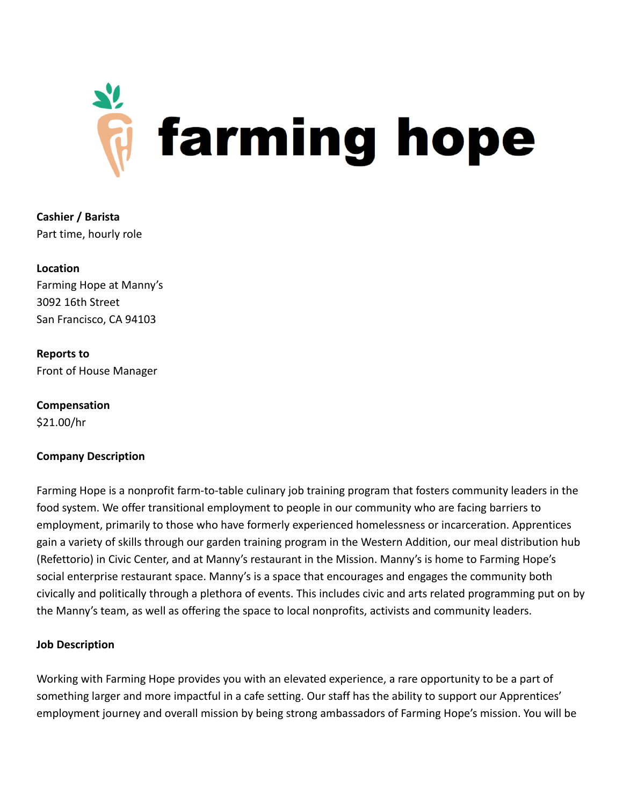

**Cashier / Barista** Part time, hourly role

**Location** Farming Hope at Manny's 3092 16th Street San Francisco, CA 94103

**Reports to** Front of House Manager

**Compensation** \$21.00/hr

# **Company Description**

Farming Hope is a nonprofit farm-to-table culinary job training program that fosters community leaders in the food system. We offer transitional employment to people in our community who are facing barriers to employment, primarily to those who have formerly experienced homelessness or incarceration. Apprentices gain a variety of skills through our garden training program in the Western Addition, our meal distribution hub (Refettorio) in Civic Center, and at Manny's restaurant in the Mission. Manny's is home to Farming Hope's social enterprise restaurant space. Manny's is a space that encourages and engages the community both civically and politically through a plethora of events. This includes civic and arts related programming put on by the Manny's team, as well as offering the space to local nonprofits, activists and community leaders.

### **Job Description**

Working with Farming Hope provides you with an elevated experience, a rare opportunity to be a part of something larger and more impactful in a cafe setting. Our staff has the ability to support our Apprentices' employment journey and overall mission by being strong ambassadors of Farming Hope's mission. You will be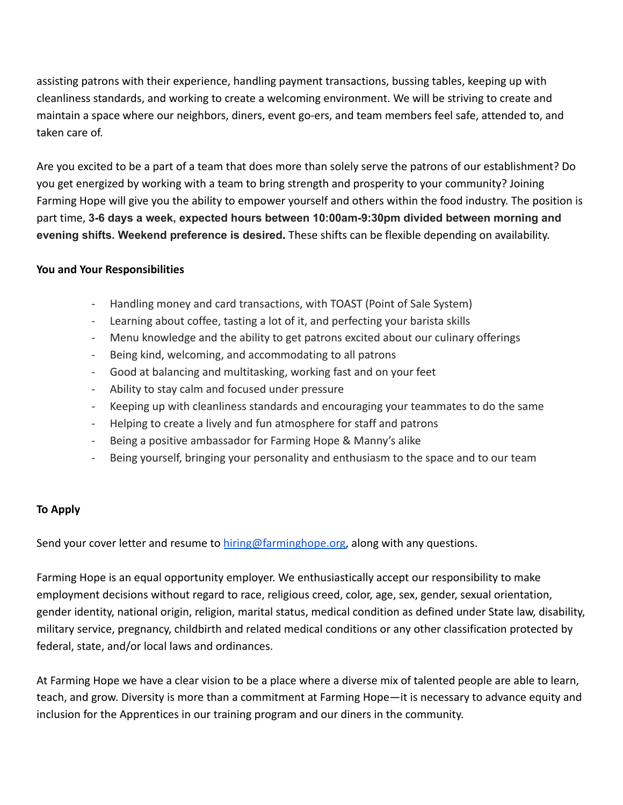assisting patrons with their experience, handling payment transactions, bussing tables, keeping up with cleanliness standards, and working to create a welcoming environment. We will be striving to create and maintain a space where our neighbors, diners, event go-ers, and team members feel safe, attended to, and taken care of.

Are you excited to be a part of a team that does more than solely serve the patrons of our establishment? Do you get energized by working with a team to bring strength and prosperity to your community? Joining Farming Hope will give you the ability to empower yourself and others within the food industry. The position is part time, **3-6 days a week, expected hours between 10:00am-9:30pm divided between morning and evening shifts. Weekend preference is desired.** These shifts can be flexible depending on availability.

### **You and Your Responsibilities**

- Handling money and card transactions, with TOAST (Point of Sale System)
- Learning about coffee, tasting a lot of it, and perfecting your barista skills
- Menu knowledge and the ability to get patrons excited about our culinary offerings
- Being kind, welcoming, and accommodating to all patrons
- Good at balancing and multitasking, working fast and on your feet
- Ability to stay calm and focused under pressure
- Keeping up with cleanliness standards and encouraging your teammates to do the same
- Helping to create a lively and fun atmosphere for staff and patrons
- Being a positive ambassador for Farming Hope & Manny's alike
- Being yourself, bringing your personality and enthusiasm to the space and to our team

# **To Apply**

Send your cover letter and resume to [hiring@farminghope.org,](mailto:hiring@farminghope.org) along with any questions.

Farming Hope is an equal opportunity employer. We enthusiastically accept our responsibility to make employment decisions without regard to race, religious creed, color, age, sex, gender, sexual orientation, gender identity, national origin, religion, marital status, medical condition as defined under State law, disability, military service, pregnancy, childbirth and related medical conditions or any other classification protected by federal, state, and/or local laws and ordinances.

At Farming Hope we have a clear vision to be a place where a diverse mix of talented people are able to learn, teach, and grow. Diversity is more than a commitment at Farming Hope—it is necessary to advance equity and inclusion for the Apprentices in our training program and our diners in the community.